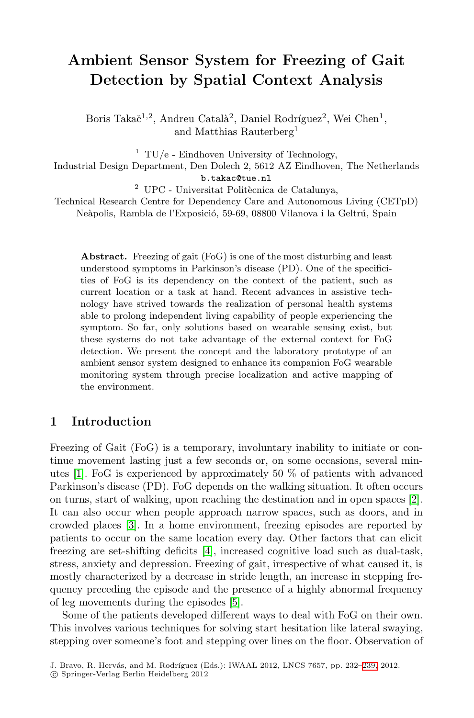# **Ambient Sensor System for Freezing of Gait Detection by Spatial Context Analysis**

Boris Takač<sup>1,2</sup>, Andreu Català<sup>2</sup>, Daniel Rodríguez<sup>2</sup>, Wei Chen<sup>1</sup>, and Matthias Rauterberg<sup>1</sup>

 $1~\mathrm{TU/e}$  - Eindhoven University of Technology,

Industrial Design Department, Den Dolech 2, 5612 AZ Eindhoven, The Netherlands

b.takac@tue.nl

 $^{\rm 2}$  UPC - Universitat Politècnica de Catalunya,

Technical Research Centre for Dependency Care and Autonomous Living (CETpD) Neàpolis, Rambla de l'Exposició, 59-69, 08800 Vilanova i la Geltrú, Spain

**Abstract.** Freezing of gait (FoG) is one of the most disturbing and least understood symptoms in Parkinson's disease (PD). One of the specificities of FoG is its dependency on the context of the patient, such as current location or a task at hand. Recent advances in assistive technology have strived towards the realization of personal health systems able to prolong independent living capability of people experiencing the symptom. So far, only solutions based on wearable sensing exist, but these systems do not take advantage of the external context for FoG detection. We present the concept and the laboratory prototype of an ambient sensor system designed to enhance its companion FoG wearable monitoring system through precise localization and active mapping of the environment.

# **[1](#page-7-0) Introduction**

Freezing of Ga[it](#page-7-1) (FoG) is a temporary, involuntary inability to initiate or continue movement lasting just a few seconds or, on some occasions, several minutes [1]. FoG is experienced by approximately 50 % of patients with advanced Parkinson's disease (PD). FoG depends on the walking situation. It often occurs on turns, start of wa[lk](#page-7-2)ing, upon reaching the destination and in open spaces [2]. It can also occur when people approach narrow spaces, such as doors, and in crowded places [3]. In a home environment, freezing episodes are reported by patients to occur on the same location every day. Other factors that can elicit freezing are set-shifting deficits [4], increased cognitive load such as dual-task, stress, anxiety and depression. Freezing of gait, i[rres](#page-7-3)pective of what caused it, is mostly characterized by a decrease in stride length, an increase in stepping frequency preceding the episode and the presence of a highly abnormal frequency of leg movements during the episodes [5].

Some of the patients developed different ways to deal with FoG on their own. This involves various techniques for solving start hesitation like lateral swaying, stepping over someone's foot and stepping over lines on the floor. Observation of

J. Bravo, R. Hervás, and M. Rodríguez (Eds.): IWAAL 2012, LNCS 7657, pp. 232–239, 2012.

<sup>-</sup>c Springer-Verlag Berlin Heidelberg 2012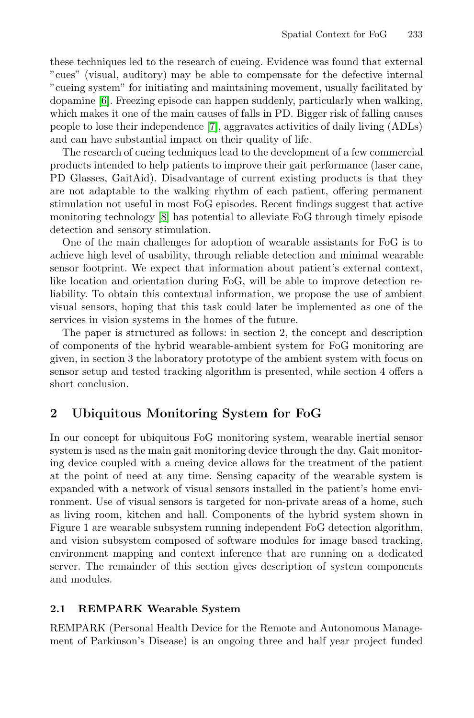these techniques led to the research of cueing. Evidence was found that external "cues" (visual, auditory) may be able to compensate for the defective internal "cueing system" for initiating and maintaining movement, usually facilitated by dopamine [6]. Freezing episode can happen suddenly, particularly when walking, whic[h m](#page-7-4)akes it one of the main causes of falls in PD. Bigger risk of falling causes people to lose their independence [7], aggravates activities of daily living (ADLs) and can have substantial impact on their quality of life.

The research of cueing techniques lead to the development of a few commercial products intended to help patients to improve their gait performance (laser cane, PD Glasses, GaitAid). Disadvantage of current existing products is that they are not adaptable to the walking rhythm of each patient, offering permanent stimulation not useful in most FoG episodes. Recent findings suggest that active monitoring technology [8] has potential to alleviate FoG through timely episode detection and sensory stimulation.

One of the main challenges for adoption of wearable assistants for FoG is to achieve high level of usability, through reliable detection and minimal wearable sensor footprint. We expect that information about patient's external context, like location and orientation during FoG, will be able to improve detection reliability. To obtain this contextual information, we propose the use of ambient visual sensors, hoping that this task could later be implemented as one of the services in vision systems in the homes of the future.

The paper is structured as follows: in section 2, the concept and description of components of the hybrid wearable-ambient system for FoG monitoring are given, in section 3 the laboratory prototype of the ambient system with focus on sensor setup and tested tracking algorithm is presented, while section 4 offers a short conclusion.

# **2 Ubiquitous Monitoring System for FoG**

In our concept for ubiquitous FoG monitoring system, wearable inertial sensor system is used as the main gait monitoring device through the day. Gait monitoring device coupled with a cueing device allows for the treatment of the patient at the point of need at any time. Sensing capacity of the wearable system is expanded with a network of visual sensors installed in the patient's home environment. Use of visual sensors is targeted for non-private areas of a home, such as living room, kitchen and hall. Components of the hybrid system shown in Figure 1 are wearable subsystem running independent FoG detection algorithm, and vision subsystem composed of software modules for image based tracking, environment mapping and context inference that are running on a dedicated server. The remainder of this section gives description of system components and modules.

## **2.1 REMPARK Wearable System**

REMPARK (Personal Health Device for the Remote and Autonomous Management of Parkinson's Disease) is an ongoing three and half year project funded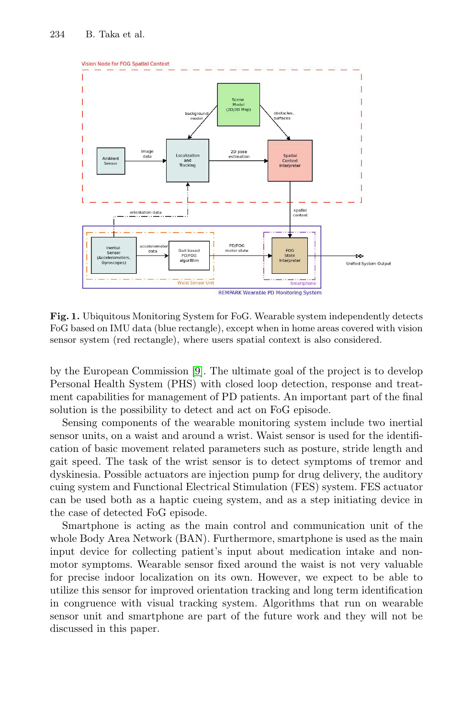### 234 B. Taka et al.



**Fig. 1.** Ubiquitous Monitoring System for FoG. Wearable system independently detects FoG based on IMU data (blue rectangle), except when in home areas covered with vision sensor system (red rectangle), where users spatial context is also considered.

by the European Commission [9]. The ultimate goal of the project is to develop Personal Health System (PHS) with closed loop detection, response and treatment capabilities for management of PD patients. An important part of the final solution is the possibility to detect and act on FoG episode.

Sensing components of the wearable monitoring system include two inertial sensor units, on a waist and around a wrist. Waist sensor is used for the identification of basic movement related parameters such as posture, stride length and gait speed. The task of the wrist sensor is to detect symptoms of tremor and dyskinesia. Possible actuators are injection pump for drug delivery, the auditory cuing system and Functional Electrical Stimulation (FES) system. FES actuator can be used both as a haptic cueing system, and as a step initiating device in the case of detected FoG episode.

Smartphone is acting as the main control and communication unit of the whole Body Area Network (BAN). Furthermore, smartphone is used as the main input device for collecting patient's input about medication intake and nonmotor symptoms. Wearable sensor fixed around the waist is not very valuable for precise indoor localization on its own. However, we expect to be able to utilize this sensor for improved orientation tracking and long term identification in congruence with visual tracking system. Algorithms that run on wearable sensor unit and smartphone are part of the future work and they will not be discussed in this paper.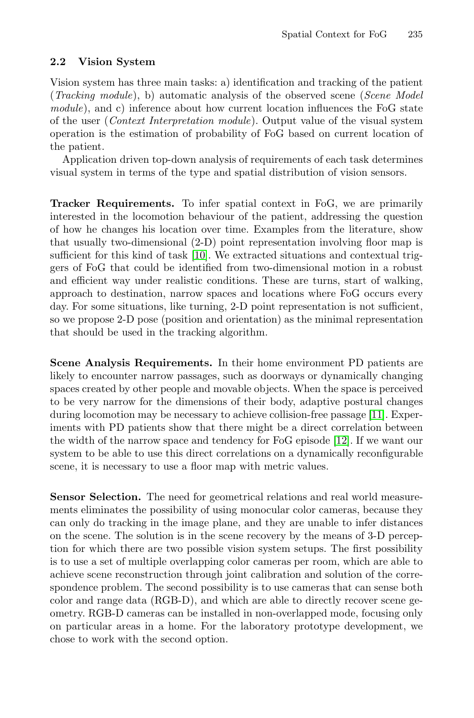### **2.2 Vision System**

Vision system has three main tasks: a) identification and tracking of the patient (*Tracking module*), b) automatic analysis of the observed scene (*Scene Model module*), and c) inference about how current location influences the FoG state of the user (*Context Interpretation module*). Output value of the visual system operation is the estimation of probability of FoG based on current location of the patient.

Applicati[on](#page-7-5) [d](#page-7-5)riven top-down analysis of requirements of each task determines visual system in terms of the type and spatial distribution of vision sensors.

**Tracker Requirements.** To infer spatial context in FoG, we are primarily interested in the locomotion behaviour of the patient, addressing the question of how he changes his location over time. Examples from the literature, show that usually two-dimensional (2-D) point representation involving floor map is sufficient for this kind of task [10]. We extracted situations and contextual triggers of FoG that could be identified from two-dimensional motion in a robust and efficient way under realistic conditions. These are turns, start of walking, approach to destination, narrow spaces and locations where FoG occurs every day. For some situations, like turning, 2-D point representation is not sufficient, so we propose 2-D pose (position and orientation) [as](#page-7-6) [t](#page-7-6)he minimal representation that should be used in the tracking algorit[hm](#page-7-7).

**Scene Analysis Requirements.** In their home environment PD patients are likely to encounter narrow passages, such as doorways or dynamically changing spaces created by other people and movable objects. When the space is perceived to be very narrow for the dimensions of their body, adaptive postural changes during locomotion may be necessary to achieve collision-free passage [11]. Experiments with PD patients show that there might be a direct correlation between the width of the narrow space and tendency for FoG episode [12]. If we want our system to be able to use this direct correlations on a dynamically reconfigurable scene, it is necessary to use a floor map with metric values.

**Sensor Selection.** The need for geometrical relations and real world measurements eliminates the possibility of using monocular color cameras, because they can only do tracking in the image plane, and they are unable to infer distances on the scene. The solution is in the scene recovery by the means of 3-D perception for which there are two possible vision system setups. The first possibility is to use a set of multiple overlapping color cameras per room, which are able to achieve scene reconstruction through joint calibration and solution of the correspondence problem. The second possibility is to use cameras that can sense both color and range data (RGB-D), and which are able to directly recover scene geometry. RGB-D cameras can be installed in non-overlapped mode, focusing only on particular areas in a home. For the laboratory prototype development, we chose to work with the second option.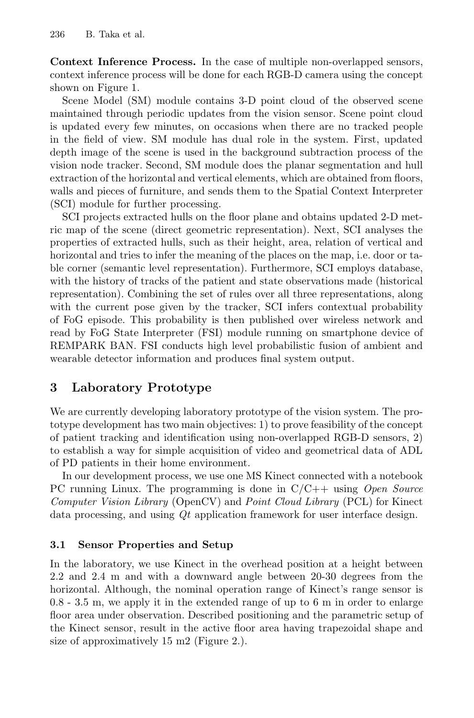**Context Inference Process.** In the case of multiple non-overlapped sensors, context inference process will be done for each RGB-D camera using the concept shown on Figure 1.

Scene Model (SM) module contains 3-D point cloud of the observed scene maintained through periodic updates from the vision sensor. Scene point cloud is updated every few minutes, on occasions when there are no tracked people in the field of view. SM module has dual role in the system. First, updated depth image of the scene is used in the background subtraction process of the vision node tracker. Second, SM module does the planar segmentation and hull extraction of the horizontal and vertical elements, which are obtained from floors, walls and pieces of furniture, and sends them to the Spatial Context Interpreter (SCI) module for further processing.

SCI projects extracted hulls on the floor plane and obtains updated 2-D metric map of the scene (direct geometric representation). Next, SCI analyses the properties of extracted hulls, such as their height, area, relation of vertical and horizontal and tries to infer the meaning of the places on the map, i.e. door or table corner (semantic level representation). Furthermore, SCI employs database, with the history of tracks of the patient and state observations made (historical representation). Combining the set of rules over all three representations, along with the current pose given by the tracker, SCI infers contextual probability of FoG episode. This probability is then published over wireless network and read by FoG State Interpreter (FSI) module running on smartphone device of REMPARK BAN. FSI conducts high level probabilistic fusion of ambient and wearable detector information and produces final system output.

# **3 Laboratory Prototype**

We are currently developing laboratory prototype of the vision system. The prototype development has two main objectives: 1) to prove feasibility of the concept of patient tracking and identification using non-overlapped RGB-D sensors, 2) to establish a way for simple acquisition of video and geometrical data of ADL of PD patients in their home environment.

In our development process, we use one MS Kinect connected with a notebook PC running Linux. The programming is done in C/C++ using *Open Source Computer Vision Library* (OpenCV) and *Point Cloud Library* (PCL) for Kinect data processing, and using *Qt* application framework for user interface design.

# **3.1 Sensor Properties and Setup**

In the laboratory, we use Kinect in the overhead position at a height between 2.2 and 2.4 m and with a downward angle between 20-30 degrees from the horizontal. Although, the nominal operation range of Kinect's range sensor is 0.8 - 3.5 m, we apply it in the extended range of up to 6 m in order to enlarge floor area under observation. Described positioning and the parametric setup of the Kinect sensor, result in the active floor area having trapezoidal shape and size of approximatively 15 m2 (Figure 2.).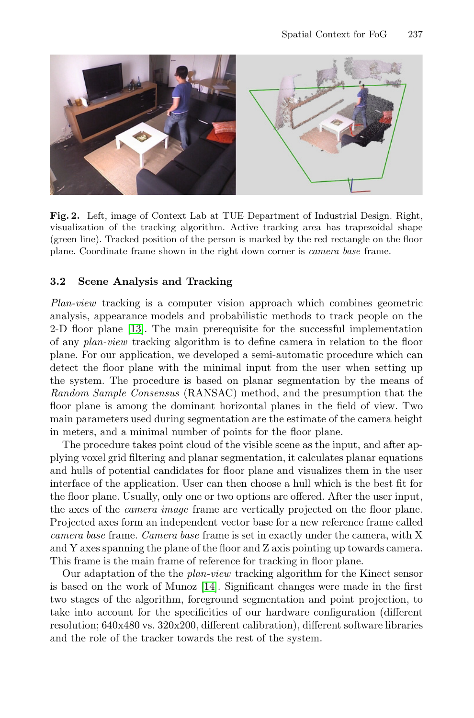

**Fig. 2.** Left, image of Context Lab at TUE Department of Industrial Design. Right, [vis](#page-7-8)ualization of the tracking algorithm. Active tracking area has trapezoidal shape (green line). Tracked position of the person is marked by the red rectangle on the floor plane. Coordinate frame shown in the right down corner is *camera base* frame.

### **3.2 Scene Analysis and Tracking**

*Plan-view* tracking is a computer vision approach which combines geometric analysis, appearance models and probabilistic methods to track people on the 2-D floor plane [13]. The main prerequisite for the successful implementation of any *plan-view* tracking algorithm is to define camera in relation to the floor plane. For our application, we developed a semi-automatic procedure which can detect the floor plane with the minimal input from the user when setting up the system. The procedure is based on planar segmentation by the means of *Random Sample Consensus* (RANSAC) method, and the presumption that the floor plane is among the dominant horizontal planes in the field of view. Two main parameters used during segmentation are the estimate of the camera height in meters, and a minimal number of points for the floor plane.

The procedure takes point cloud of the visible scene as the input, and after applying voxel grid filtering and planar segmentation, it calculates planar equations and hulls of potential candidates for floor plane and visualizes them in the user interface of th[e ap](#page-7-9)plication. User can then choose a hull which is the best fit for the floor plane. Usually, only one or two options are offered. After the user input, the axes of the *camera image* frame are vertically projected on the floor plane. Projected axes form an independent vector base for a new reference frame called *camera base* frame. *Camera base* frame is set in exactly under the camera, with X and Y axes spanning the plane of the floor and Z axis pointing up towards camera. This frame is the main frame of reference for tracking in floor plane.

Our adaptation of the the *plan-view* tracking algorithm for the Kinect sensor is based on the work of Munoz [14]. Significant changes were made in the first two stages of the algorithm, foreground segmentation and point projection, to take into account for the specificities of our hardware configuration (different resolution; 640x480 vs. 320x200, different calibration), different software libraries and the role of the tracker towards the rest of the system.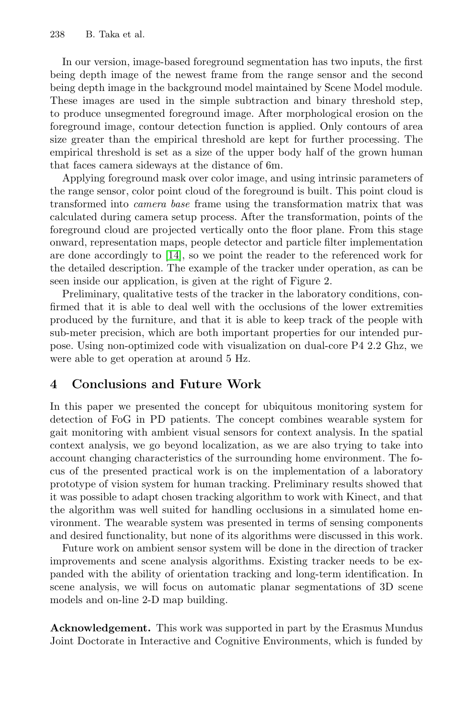#### 238 B. Taka et al.

In our version, image-based foreground segmentation has two inputs, the first being depth image of the newest frame from the range sensor and the second being depth image in the background model maintained by Scene Model module. These images are used in the simple subtraction and binary threshold step, to produce unsegmented foreground image. After morphological erosion on the foreground image, contour detection function is applied. Only contours of area size greater than the empirical threshold are kept for further processing. The empiri[cal](#page-7-9) threshold is set as a size of the upper body half of the grown human that faces camera sideways at the distance of 6m.

Applying foreground mask over color image, and using intrinsic parameters of the range sensor, color point cloud of the foreground is built. This point cloud is transformed into *camera base* frame using the transformation matrix that was calculated during camera setup process. After the transformation, points of the foreground cloud are projected vertically onto the floor plane. From this stage onward, representation maps, people detector and particle filter implementation are done accordingly to [14], so we point the reader to the referenced work for the detailed description. The example of the tracker under operation, as can be seen inside our application, is given at the right of Figure 2.

Preliminary, qualitative tests of the tracker in the laboratory conditions, confirmed that it is able to deal well with the occlusions of the lower extremities produced by the furniture, and that it is able to keep track of the people with sub-meter precision, which are both important properties for our intended purpose. Using non-optimized code with visualization on dual-core P4 2.2 Ghz, we were able to get operation at around 5 Hz.

### **4 Conclusions and Future Work**

In this paper we presented the concept for ubiquitous monitoring system for detection of FoG in PD patients. The concept combines wearable system for gait monitoring with ambient visual sensors for context analysis. In the spatial context analysis, we go beyond localization, as we are also trying to take into account changing characteristics of the surrounding home environment. The focus of the presented practical work is on the implementation of a laboratory prototype of vision system for human tracking. Preliminary results showed that it was possible to adapt chosen tracking algorithm to work with Kinect, and that the algorithm was well suited for handling occlusions in a simulated home environment. The wearable system was presented in terms of sensing components and desired functionality, but none of its algorithms were discussed in this work.

Future work on ambient sensor system will be done in the direction of tracker improvements and scene analysis algorithms. Existing tracker needs to be expanded with the ability of orientation tracking and long-term identification. In scene analysis, we will focus on automatic planar segmentations of 3D scene models and on-line 2-D map building.

**Acknowledgement.** This work was supported in part by the Erasmus Mundus Joint Doctorate in Interactive and Cognitive Environments, which is funded by